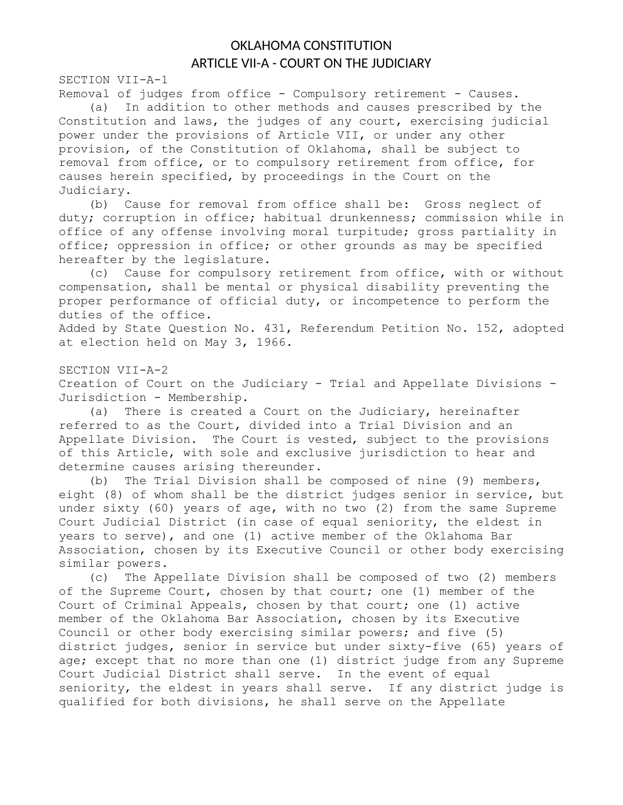# OKLAHOMA CONSTITUTION ARTICLE VII-A - COURT ON THE JUDICIARY

SECTION VII-A-1 Removal of judges from office - Compulsory retirement - Causes.

(a) In addition to other methods and causes prescribed by the Constitution and laws, the judges of any court, exercising judicial power under the provisions of Article VII, or under any other provision, of the Constitution of Oklahoma, shall be subject to removal from office, or to compulsory retirement from office, for causes herein specified, by proceedings in the Court on the Judiciary.

(b) Cause for removal from office shall be: Gross neglect of duty; corruption in office; habitual drunkenness; commission while in office of any offense involving moral turpitude; gross partiality in office; oppression in office; or other grounds as may be specified hereafter by the legislature.

(c) Cause for compulsory retirement from office, with or without compensation, shall be mental or physical disability preventing the proper performance of official duty, or incompetence to perform the duties of the office.

Added by State Question No. 431, Referendum Petition No. 152, adopted at election held on May 3, 1966.

#### SECTION VII-A-2

Creation of Court on the Judiciary - Trial and Appellate Divisions - Jurisdiction - Membership.

(a) There is created a Court on the Judiciary, hereinafter referred to as the Court, divided into a Trial Division and an Appellate Division. The Court is vested, subject to the provisions of this Article, with sole and exclusive jurisdiction to hear and determine causes arising thereunder.

(b) The Trial Division shall be composed of nine (9) members, eight (8) of whom shall be the district judges senior in service, but under sixty (60) years of age, with no two (2) from the same Supreme Court Judicial District (in case of equal seniority, the eldest in years to serve), and one (1) active member of the Oklahoma Bar Association, chosen by its Executive Council or other body exercising similar powers.

(c) The Appellate Division shall be composed of two (2) members of the Supreme Court, chosen by that court; one (1) member of the Court of Criminal Appeals, chosen by that court; one (1) active member of the Oklahoma Bar Association, chosen by its Executive Council or other body exercising similar powers; and five (5) district judges, senior in service but under sixty-five (65) years of age; except that no more than one (1) district judge from any Supreme Court Judicial District shall serve. In the event of equal seniority, the eldest in years shall serve. If any district judge is qualified for both divisions, he shall serve on the Appellate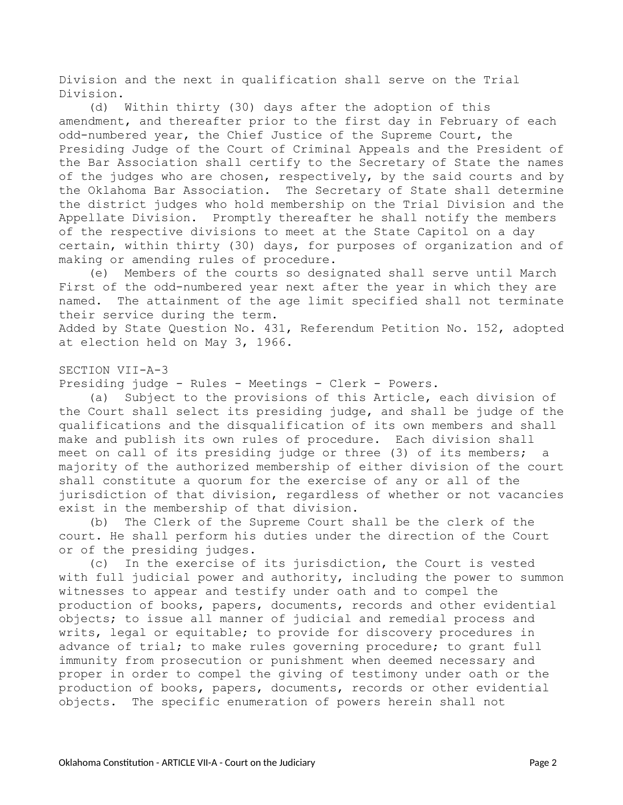Division and the next in qualification shall serve on the Trial Division.

(d) Within thirty (30) days after the adoption of this amendment, and thereafter prior to the first day in February of each odd-numbered year, the Chief Justice of the Supreme Court, the Presiding Judge of the Court of Criminal Appeals and the President of the Bar Association shall certify to the Secretary of State the names of the judges who are chosen, respectively, by the said courts and by the Oklahoma Bar Association. The Secretary of State shall determine the district judges who hold membership on the Trial Division and the Appellate Division. Promptly thereafter he shall notify the members of the respective divisions to meet at the State Capitol on a day certain, within thirty (30) days, for purposes of organization and of making or amending rules of procedure.

(e) Members of the courts so designated shall serve until March First of the odd-numbered year next after the year in which they are named. The attainment of the age limit specified shall not terminate their service during the term.

Added by State Question No. 431, Referendum Petition No. 152, adopted at election held on May 3, 1966.

#### SECTION VII-A-3

Presiding judge - Rules - Meetings - Clerk - Powers.

(a) Subject to the provisions of this Article, each division of the Court shall select its presiding judge, and shall be judge of the qualifications and the disqualification of its own members and shall make and publish its own rules of procedure. Each division shall meet on call of its presiding judge or three (3) of its members; a majority of the authorized membership of either division of the court shall constitute a quorum for the exercise of any or all of the jurisdiction of that division, regardless of whether or not vacancies exist in the membership of that division.

(b) The Clerk of the Supreme Court shall be the clerk of the court. He shall perform his duties under the direction of the Court or of the presiding judges.

(c) In the exercise of its jurisdiction, the Court is vested with full judicial power and authority, including the power to summon witnesses to appear and testify under oath and to compel the production of books, papers, documents, records and other evidential objects; to issue all manner of judicial and remedial process and writs, legal or equitable; to provide for discovery procedures in advance of trial; to make rules governing procedure; to grant full immunity from prosecution or punishment when deemed necessary and proper in order to compel the giving of testimony under oath or the production of books, papers, documents, records or other evidential objects. The specific enumeration of powers herein shall not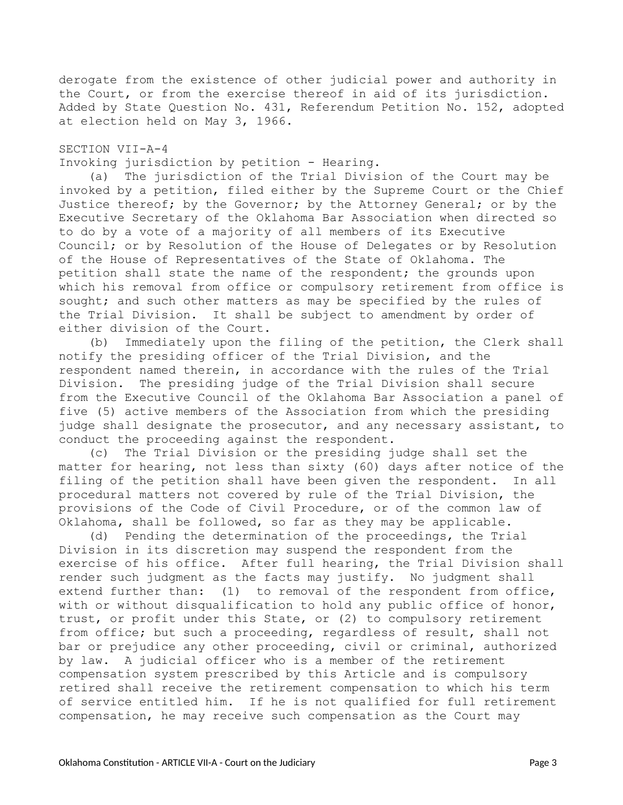derogate from the existence of other judicial power and authority in the Court, or from the exercise thereof in aid of its jurisdiction. Added by State Question No. 431, Referendum Petition No. 152, adopted at election held on May 3, 1966.

## SECTION VII-A-4

Invoking jurisdiction by petition - Hearing.

(a) The jurisdiction of the Trial Division of the Court may be invoked by a petition, filed either by the Supreme Court or the Chief Justice thereof; by the Governor; by the Attorney General; or by the Executive Secretary of the Oklahoma Bar Association when directed so to do by a vote of a majority of all members of its Executive Council; or by Resolution of the House of Delegates or by Resolution of the House of Representatives of the State of Oklahoma. The petition shall state the name of the respondent; the grounds upon which his removal from office or compulsory retirement from office is sought; and such other matters as may be specified by the rules of the Trial Division. It shall be subject to amendment by order of either division of the Court.

(b) Immediately upon the filing of the petition, the Clerk shall notify the presiding officer of the Trial Division, and the respondent named therein, in accordance with the rules of the Trial Division. The presiding judge of the Trial Division shall secure from the Executive Council of the Oklahoma Bar Association a panel of five (5) active members of the Association from which the presiding judge shall designate the prosecutor, and any necessary assistant, to conduct the proceeding against the respondent.

(c) The Trial Division or the presiding judge shall set the matter for hearing, not less than sixty (60) days after notice of the filing of the petition shall have been given the respondent. In all procedural matters not covered by rule of the Trial Division, the provisions of the Code of Civil Procedure, or of the common law of Oklahoma, shall be followed, so far as they may be applicable.

(d) Pending the determination of the proceedings, the Trial Division in its discretion may suspend the respondent from the exercise of his office. After full hearing, the Trial Division shall render such judgment as the facts may justify. No judgment shall extend further than: (1) to removal of the respondent from office, with or without disqualification to hold any public office of honor, trust, or profit under this State, or (2) to compulsory retirement from office; but such a proceeding, regardless of result, shall not bar or prejudice any other proceeding, civil or criminal, authorized by law. A judicial officer who is a member of the retirement compensation system prescribed by this Article and is compulsory retired shall receive the retirement compensation to which his term of service entitled him. If he is not qualified for full retirement compensation, he may receive such compensation as the Court may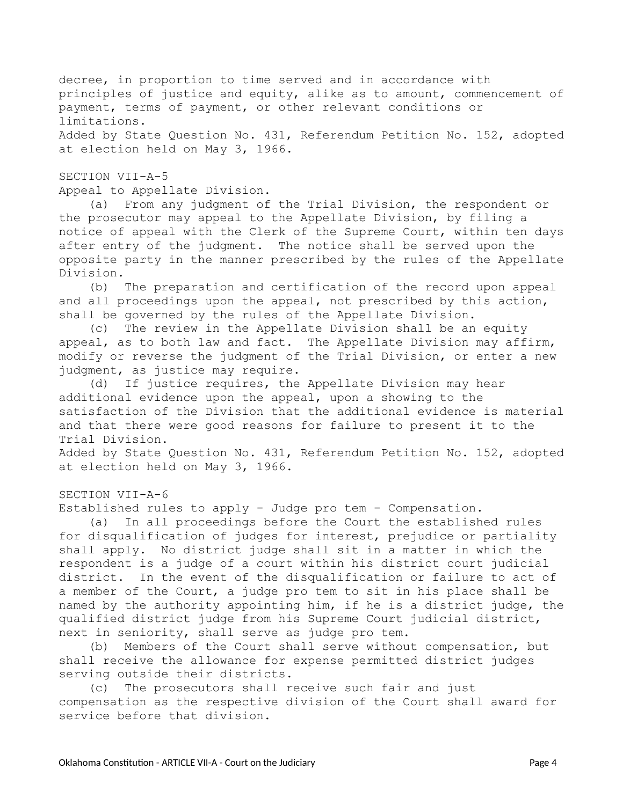decree, in proportion to time served and in accordance with principles of justice and equity, alike as to amount, commencement of payment, terms of payment, or other relevant conditions or limitations.

Added by State Question No. 431, Referendum Petition No. 152, adopted at election held on May 3, 1966.

SECTION VII-A-5

Appeal to Appellate Division.

(a) From any judgment of the Trial Division, the respondent or the prosecutor may appeal to the Appellate Division, by filing a notice of appeal with the Clerk of the Supreme Court, within ten days after entry of the judgment. The notice shall be served upon the opposite party in the manner prescribed by the rules of the Appellate Division.

(b) The preparation and certification of the record upon appeal and all proceedings upon the appeal, not prescribed by this action, shall be governed by the rules of the Appellate Division.

(c) The review in the Appellate Division shall be an equity appeal, as to both law and fact. The Appellate Division may affirm, modify or reverse the judgment of the Trial Division, or enter a new judgment, as justice may require.

(d) If justice requires, the Appellate Division may hear additional evidence upon the appeal, upon a showing to the satisfaction of the Division that the additional evidence is material and that there were good reasons for failure to present it to the Trial Division.

Added by State Question No. 431, Referendum Petition No. 152, adopted at election held on May 3, 1966.

### SECTION VII-A-6

Established rules to apply - Judge pro tem - Compensation.

(a) In all proceedings before the Court the established rules for disqualification of judges for interest, prejudice or partiality shall apply. No district judge shall sit in a matter in which the respondent is a judge of a court within his district court judicial district. In the event of the disqualification or failure to act of a member of the Court, a judge pro tem to sit in his place shall be named by the authority appointing him, if he is a district judge, the qualified district judge from his Supreme Court judicial district, next in seniority, shall serve as judge pro tem.

(b) Members of the Court shall serve without compensation, but shall receive the allowance for expense permitted district judges serving outside their districts.

(c) The prosecutors shall receive such fair and just compensation as the respective division of the Court shall award for service before that division.